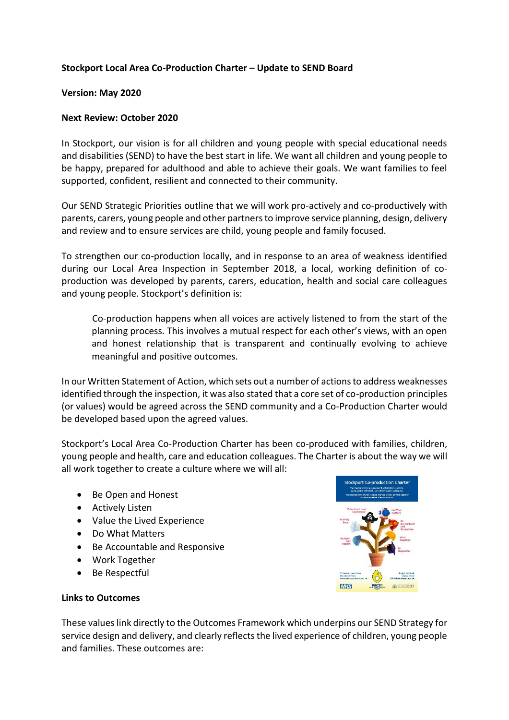# **Stockport Local Area Co-Production Charter – Update to SEND Board**

#### **Version: May 2020**

### **Next Review: October 2020**

In Stockport, our vision is for all children and young people with special educational needs and disabilities (SEND) to have the best start in life. We want all children and young people to be happy, prepared for adulthood and able to achieve their goals. We want families to feel supported, confident, resilient and connected to their community.

Our SEND Strategic Priorities outline that we will work pro-actively and co-productively with parents, carers, young people and other partners to improve service planning, design, delivery and review and to ensure services are child, young people and family focused.

To strengthen our co-production locally, and in response to an area of weakness identified during our Local Area Inspection in September 2018, a local, working definition of coproduction was developed by parents, carers, education, health and social care colleagues and young people. Stockport's definition is:

Co-production happens when all voices are actively listened to from the start of the planning process. This involves a mutual respect for each other's views, with an open and honest relationship that is transparent and continually evolving to achieve meaningful and positive outcomes.

In our Written Statement of Action, which sets out a number of actions to address weaknesses identified through the inspection, it was also stated that a core set of co-production principles (or values) would be agreed across the SEND community and a Co-Production Charter would be developed based upon the agreed values.

Stockport's Local Area Co-Production Charter has been co-produced with families, children, young people and health, care and education colleagues. The Charter is about the way we will all work together to create a culture where we will all:

- Be Open and Honest
- Actively Listen
- Value the Lived Experience
- Do What Matters
- Be Accountable and Responsive
- Work Together
- Be Respectful



# **Links to Outcomes**

These valueslink directly to the Outcomes Framework which underpins our SEND Strategy for service design and delivery, and clearly reflects the lived experience of children, young people and families. These outcomes are: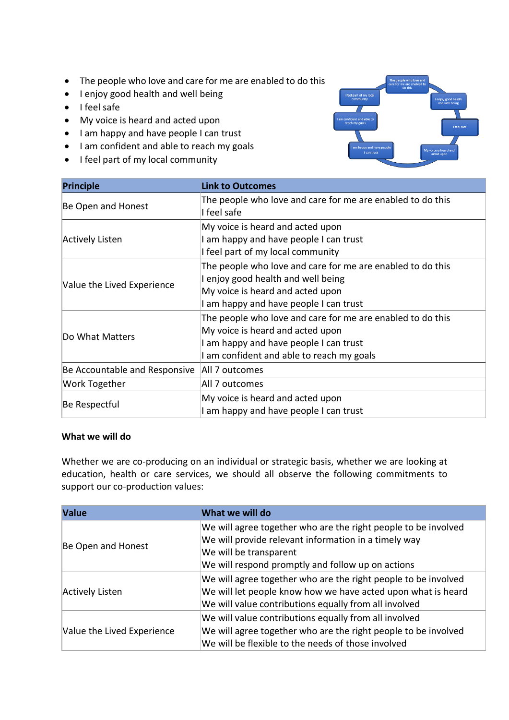- The people who love and care for me are enabled to do this
- I enjoy good health and well being
- I feel safe
- My voice is heard and acted upon
- I am happy and have people I can trust
- I am confident and able to reach my goals
- I feel part of my local community



| <b>Principle</b>              | <b>Link to Outcomes</b>                                                                                                                                                               |
|-------------------------------|---------------------------------------------------------------------------------------------------------------------------------------------------------------------------------------|
| Be Open and Honest            | The people who love and care for me are enabled to do this<br>I feel safe                                                                                                             |
| Actively Listen               | My voice is heard and acted upon<br>I am happy and have people I can trust<br>I feel part of my local community                                                                       |
| Value the Lived Experience    | The people who love and care for me are enabled to do this<br>I enjoy good health and well being<br>My voice is heard and acted upon<br>I am happy and have people I can trust        |
| Do What Matters               | The people who love and care for me are enabled to do this<br>My voice is heard and acted upon<br>I am happy and have people I can trust<br>I am confident and able to reach my goals |
| Be Accountable and Responsive | All 7 outcomes                                                                                                                                                                        |
| Work Together                 | All 7 outcomes                                                                                                                                                                        |
| Be Respectful                 | My voice is heard and acted upon<br>I am happy and have people I can trust                                                                                                            |

## **What we will do**

Whether we are co-producing on an individual or strategic basis, whether we are looking at education, health or care services, we should all observe the following commitments to support our co-production values:

| <b>Value</b>               | What we will do                                                |
|----------------------------|----------------------------------------------------------------|
| Be Open and Honest         | We will agree together who are the right people to be involved |
|                            | We will provide relevant information in a timely way           |
|                            | We will be transparent                                         |
|                            | We will respond promptly and follow up on actions              |
| Actively Listen            | We will agree together who are the right people to be involved |
|                            | We will let people know how we have acted upon what is heard   |
|                            | We will value contributions equally from all involved          |
| Value the Lived Experience | We will value contributions equally from all involved          |
|                            | We will agree together who are the right people to be involved |
|                            | We will be flexible to the needs of those involved             |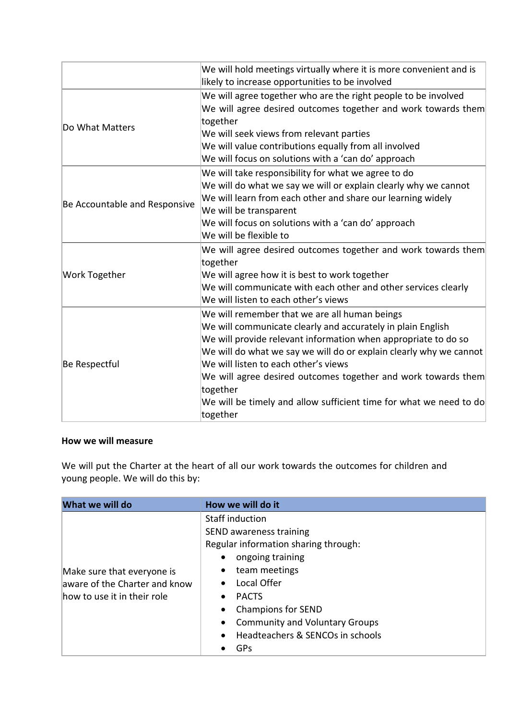|                               | We will hold meetings virtually where it is more convenient and is<br>likely to increase opportunities to be involved                                                                                                                                                                                                                                                                                                                                       |
|-------------------------------|-------------------------------------------------------------------------------------------------------------------------------------------------------------------------------------------------------------------------------------------------------------------------------------------------------------------------------------------------------------------------------------------------------------------------------------------------------------|
| Do What Matters               | We will agree together who are the right people to be involved<br>We will agree desired outcomes together and work towards them<br>together<br>We will seek views from relevant parties<br>We will value contributions equally from all involved<br>We will focus on solutions with a 'can do' approach                                                                                                                                                     |
| Be Accountable and Responsive | We will take responsibility for what we agree to do<br>We will do what we say we will or explain clearly why we cannot<br>We will learn from each other and share our learning widely<br>We will be transparent<br>We will focus on solutions with a 'can do' approach<br>We will be flexible to                                                                                                                                                            |
| <b>Work Together</b>          | We will agree desired outcomes together and work towards them<br>together<br>We will agree how it is best to work together<br>We will communicate with each other and other services clearly<br>We will listen to each other's views                                                                                                                                                                                                                        |
| Be Respectful                 | We will remember that we are all human beings<br>We will communicate clearly and accurately in plain English<br>We will provide relevant information when appropriate to do so<br>We will do what we say we will do or explain clearly why we cannot<br>We will listen to each other's views<br>We will agree desired outcomes together and work towards them<br>together<br>We will be timely and allow sufficient time for what we need to do<br>together |

## **How we will measure**

We will put the Charter at the heart of all our work towards the outcomes for children and young people. We will do this by:

| What we will do                                                                            | How we will do it                                                                                                                                                                                                                                                                                                                                     |
|--------------------------------------------------------------------------------------------|-------------------------------------------------------------------------------------------------------------------------------------------------------------------------------------------------------------------------------------------------------------------------------------------------------------------------------------------------------|
| Make sure that everyone is<br>aware of the Charter and know<br>how to use it in their role | Staff induction<br>SEND awareness training<br>Regular information sharing through:<br>ongoing training<br>team meetings<br>$\bullet$<br>Local Offer<br>$\bullet$<br><b>PACTS</b><br>$\bullet$<br><b>Champions for SEND</b><br>$\bullet$<br><b>Community and Voluntary Groups</b><br>$\bullet$<br>Headteachers & SENCOs in schools<br>$\bullet$<br>GPs |